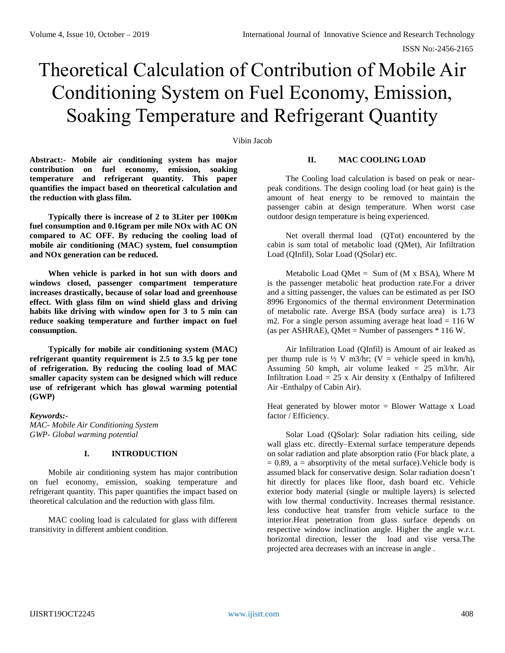# Theoretical Calculation of Contribution of Mobile Air Conditioning System on Fuel Economy, Emission, Soaking Temperature and Refrigerant Quantity

#### Vibin Jacob

**Abstract:- Mobile air conditioning system has major contribution on fuel economy, emission, soaking temperature and refrigerant quantity. This paper quantifies the impact based on theoretical calculation and the reduction with glass film.** 

**Typically there is increase of 2 to 3Liter per 100Km fuel consumption and 0.16gram per mile NOx with AC ON compared to AC OFF. By reducing the cooling load of mobile air conditioning (MAC) system, fuel consumption and NOx generation can be reduced.**

**When vehicle is parked in hot sun with doors and windows closed, passenger compartment temperature increases drastically, because of solar load and greenhouse effect. With glass film on wind shield glass and driving habits like driving with window open for 3 to 5 min can reduce soaking temperature and further impact on fuel consumption.** 

**Typically for mobile air conditioning system (MAC) refrigerant quantity requirement is 2.5 to 3.5 kg per tone of refrigeration. By reducing the cooling load of MAC smaller capacity system can be designed which will reduce use of refrigerant which has glowal warming potential (GWP)**

*Keywords:- MAC- Mobile Air Conditioning System GWP- Global warming potential*

## **I. INTRODUCTION**

Mobile air conditioning system has major contribution on fuel economy, emission, soaking temperature and refrigerant quantity. This paper quantifies the impact based on theoretical calculation and the reduction with glass film.

MAC cooling load is calculated for glass with different transitivity in different ambient condition.

## **II. MAC COOLING LOAD**

The Cooling load calculation is based on peak or nearpeak conditions. The design cooling load (or heat gain) is the amount of heat energy to be removed to maintain the passenger cabin at design temperature. When worst case outdoor design temperature is being experienced.

Net overall thermal load (QTot) encountered by the cabin is sum total of metabolic load (QMet), Air Infiltration Load (QInfil), Solar Load (QSolar) etc.

Metabolic Load QMet = Sum of  $(M \times BSA)$ , Where M is the passenger metabolic heat production rate.For a driver and a sitting passenger, the values can be estimated as per ISO 8996 Ergonomics of the thermal environment Determination of metabolic rate. Averge BSA (body surface area) is 1.73 m2. For a single person assuming average heat load  $= 116$  W (as per ASHRAE), QMet = Number of passengers  $*$  116 W.

Air Infiltration Load (QInfil) is Amount of air leaked as per thump rule is  $\frac{1}{2} V$  m3/hr; (V = vehicle speed in km/h), Assuming 50 kmph, air volume leaked = 25 m3/hr. Air Infiltration Load =  $25 \times$  Air density x (Enthalpy of Infiltered Air -Enthalpy of Cabin Air).

Heat generated by blower motor  $=$  Blower Wattage x Load factor / Efficiency.

Solar Load (QSolar): Solar radiation hits ceiling, side wall glass etc. directly–External surface temperature depends on solar radiation and plate absorption ratio (For black plate, a  $= 0.89$ , a  $=$  absorptivity of the metal surface). Vehicle body is assumed black for conservative design. Solar radiation doesn't hit directly for places like floor, dash board etc. Vehicle exterior body material (single or multiple layers) is selected with low thermal conductivity. Increases thermal resistance. less conductive heat transfer from vehicle surface to the interior.Heat penetration from glass surface depends on respective window inclination angle. Higher the angle w.r.t. horizontal direction, lesser the load and vise versa.The projected area decreases with an increase in angle .